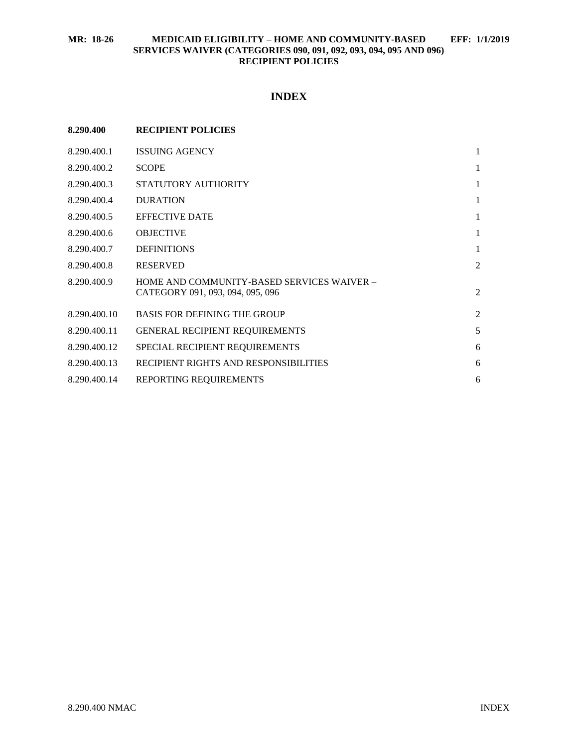# **INDEX**

| 8.290.400    | <b>RECIPIENT POLICIES</b>                                                      |                |
|--------------|--------------------------------------------------------------------------------|----------------|
| 8.290.400.1  | <b>ISSUING AGENCY</b>                                                          | 1              |
| 8.290.400.2  | <b>SCOPE</b>                                                                   | 1              |
| 8.290.400.3  | STATUTORY AUTHORITY                                                            | 1              |
| 8.290.400.4  | <b>DURATION</b>                                                                | 1              |
| 8.290.400.5  | <b>EFFECTIVE DATE</b>                                                          | 1              |
| 8.290.400.6  | <b>OBJECTIVE</b>                                                               | 1              |
| 8.290.400.7  | <b>DEFINITIONS</b>                                                             | 1              |
| 8.290.400.8  | <b>RESERVED</b>                                                                | $\overline{2}$ |
| 8.290.400.9  | HOME AND COMMUNITY-BASED SERVICES WAIVER -<br>CATEGORY 091, 093, 094, 095, 096 | $\overline{2}$ |
| 8.290.400.10 | <b>BASIS FOR DEFINING THE GROUP</b>                                            | $\overline{c}$ |
| 8.290.400.11 | <b>GENERAL RECIPIENT REQUIREMENTS</b>                                          | 5              |
| 8.290.400.12 | SPECIAL RECIPIENT REQUIREMENTS                                                 | 6              |
| 8.290.400.13 | RECIPIENT RIGHTS AND RESPONSIBILITIES                                          | 6              |
| 8.290.400.14 | REPORTING REQUIREMENTS                                                         | 6              |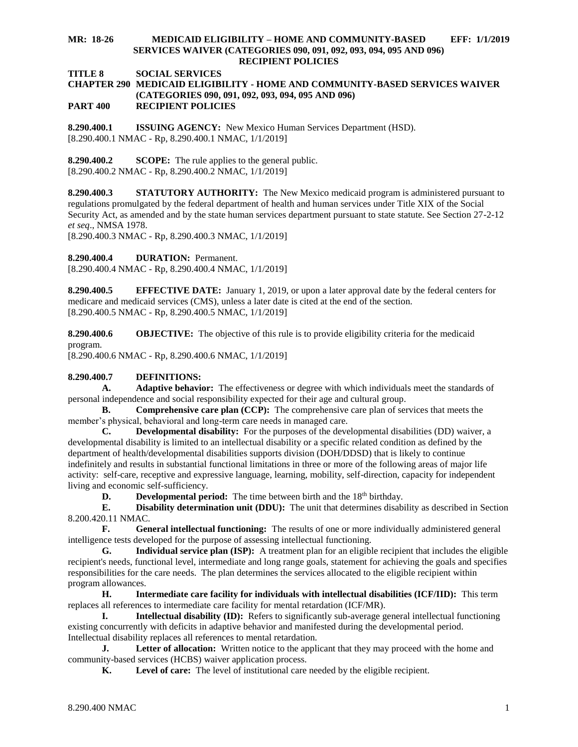**TITLE 8 SOCIAL SERVICES**

#### **CHAPTER 290 MEDICAID ELIGIBILITY - HOME AND COMMUNITY-BASED SERVICES WAIVER (CATEGORIES 090, 091, 092, 093, 094, 095 AND 096) PART 400 RECIPIENT POLICIES**

<span id="page-1-0"></span>**8.290.400.1 ISSUING AGENCY:** New Mexico Human Services Department (HSD). [8.290.400.1 NMAC - Rp, 8.290.400.1 NMAC, 1/1/2019]

<span id="page-1-1"></span>**8.290.400.2 SCOPE:** The rule applies to the general public. [8.290.400.2 NMAC - Rp, 8.290.400.2 NMAC, 1/1/2019]

<span id="page-1-2"></span>**8.290.400.3 STATUTORY AUTHORITY:** The New Mexico medicaid program is administered pursuant to regulations promulgated by the federal department of health and human services under Title XIX of the Social Security Act, as amended and by the state human services department pursuant to state statute. See Section 27-2-12 *et seq*., NMSA 1978.

[8.290.400.3 NMAC - Rp, 8.290.400.3 NMAC, 1/1/2019]

<span id="page-1-3"></span>**8.290.400.4 DURATION:** Permanent.

[8.290.400.4 NMAC - Rp, 8.290.400.4 NMAC, 1/1/2019]

<span id="page-1-4"></span>**8.290.400.5 EFFECTIVE DATE:** January 1, 2019, or upon a later approval date by the federal centers for medicare and medicaid services (CMS), unless a later date is cited at the end of the section. [8.290.400.5 NMAC - Rp, 8.290.400.5 NMAC, 1/1/2019]

<span id="page-1-5"></span>**8.290.400.6 OBJECTIVE:** The objective of this rule is to provide eligibility criteria for the medicaid program.

[8.290.400.6 NMAC - Rp, 8.290.400.6 NMAC, 1/1/2019]

# <span id="page-1-6"></span>**8.290.400.7 DEFINITIONS:**

**A. Adaptive behavior:** The effectiveness or degree with which individuals meet the standards of personal independence and social responsibility expected for their age and cultural group.

**B. Comprehensive care plan (CCP):** The comprehensive care plan of services that meets the member's physical, behavioral and long-term care needs in managed care.

**C. Developmental disability:** For the purposes of the developmental disabilities (DD) waiver, a developmental disability is limited to an intellectual disability or a specific related condition as defined by the department of health/developmental disabilities supports division (DOH/DDSD) that is likely to continue indefinitely and results in substantial functional limitations in three or more of the following areas of major life activity: self-care, receptive and expressive language, learning, mobility, self-direction, capacity for independent living and economic self-sufficiency.

**D. Developmental period:** The time between birth and the 18<sup>th</sup> birthday.

**E. Disability determination unit (DDU):** The unit that determines disability as described in Section 8.200.420.11 NMAC.

**F. General intellectual functioning:** The results of one or more individually administered general intelligence tests developed for the purpose of assessing intellectual functioning.

**G. Individual service plan (ISP):** A treatment plan for an eligible recipient that includes the eligible recipient's needs, functional level, intermediate and long range goals, statement for achieving the goals and specifies responsibilities for the care needs. The plan determines the services allocated to the eligible recipient within program allowances.

**H. Intermediate care facility for individuals with intellectual disabilities (ICF/IID):** This term replaces all references to intermediate care facility for mental retardation (ICF/MR).

**I. Intellectual disability (ID):** Refers to significantly sub-average general intellectual functioning existing concurrently with deficits in adaptive behavior and manifested during the developmental period. Intellectual disability replaces all references to mental retardation.

**J. Letter of allocation:** Written notice to the applicant that they may proceed with the home and community-based services (HCBS) waiver application process.

**K. Level of care:** The level of institutional care needed by the eligible recipient.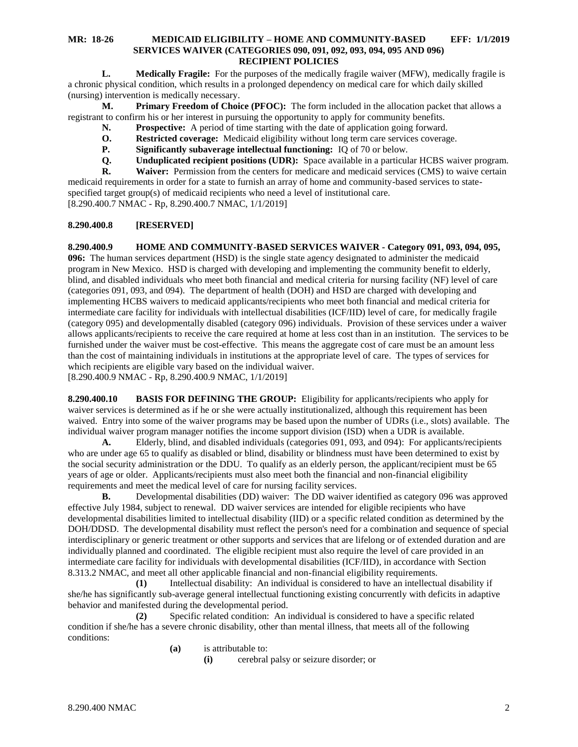**L. Medically Fragile:** For the purposes of the medically fragile waiver (MFW), medically fragile is a chronic physical condition, which results in a prolonged dependency on medical care for which daily skilled (nursing) intervention is medically necessary.

**M. Primary Freedom of Choice (PFOC):** The form included in the allocation packet that allows a registrant to confirm his or her interest in pursuing the opportunity to apply for community benefits.

- **N. Prospective:** A period of time starting with the date of application going forward.
- **O. Restricted coverage:** Medicaid eligibility without long term care services coverage.
- **P. Significantly subaverage intellectual functioning:** IQ of 70 or below.
- **Q. Unduplicated recipient positions (UDR):** Space available in a particular HCBS waiver program.<br>**R. Waiver:** Permission from the centers for medicare and medicaid services (CMS) to waive certain

**R. Waiver:** Permission from the centers for medicare and medicaid services (CMS) to waive certain medicaid requirements in order for a state to furnish an array of home and community-based services to statespecified target group(s) of medicaid recipients who need a level of institutional care. [8.290.400.7 NMAC - Rp, 8.290.400.7 NMAC, 1/1/2019]

# <span id="page-2-0"></span>**8.290.400.8 [RESERVED]**

<span id="page-2-1"></span>**8.290.400.9 HOME AND COMMUNITY-BASED SERVICES WAIVER - Category 091, 093, 094, 095, 096:** The human services department (HSD) is the single state agency designated to administer the medicaid program in New Mexico. HSD is charged with developing and implementing the community benefit to elderly, blind, and disabled individuals who meet both financial and medical criteria for nursing facility (NF) level of care (categories 091, 093, and 094). The department of health (DOH) and HSD are charged with developing and implementing HCBS waivers to medicaid applicants/recipients who meet both financial and medical criteria for intermediate care facility for individuals with intellectual disabilities (ICF/IID) level of care, for medically fragile (category 095) and developmentally disabled (category 096) individuals. Provision of these services under a waiver allows applicants/recipients to receive the care required at home at less cost than in an institution. The services to be furnished under the waiver must be cost-effective. This means the aggregate cost of care must be an amount less than the cost of maintaining individuals in institutions at the appropriate level of care. The types of services for which recipients are eligible vary based on the individual waiver.

[8.290.400.9 NMAC - Rp, 8.290.400.9 NMAC, 1/1/2019]

<span id="page-2-2"></span>**8.290.400.10 BASIS FOR DEFINING THE GROUP:** Eligibility for applicants/recipients who apply for waiver services is determined as if he or she were actually institutionalized, although this requirement has been waived. Entry into some of the waiver programs may be based upon the number of UDRs (i.e., slots) available. The individual waiver program manager notifies the income support division (ISD) when a UDR is available.

**A.** Elderly, blind, and disabled individuals (categories 091, 093, and 094): For applicants/recipients who are under age 65 to qualify as disabled or blind, disability or blindness must have been determined to exist by the social security administration or the DDU. To qualify as an elderly person, the applicant/recipient must be 65 years of age or older. Applicants/recipients must also meet both the financial and non-financial eligibility requirements and meet the medical level of care for nursing facility services.

**B.** Developmental disabilities (DD) waiver: The DD waiver identified as category 096 was approved effective July 1984, subject to renewal. DD waiver services are intended for eligible recipients who have developmental disabilities limited to intellectual disability (IID) or a specific related condition as determined by the DOH/DDSD. The developmental disability must reflect the person's need for a combination and sequence of special interdisciplinary or generic treatment or other supports and services that are lifelong or of extended duration and are individually planned and coordinated. The eligible recipient must also require the level of care provided in an intermediate care facility for individuals with developmental disabilities (ICF/IID), in accordance with Section 8.313.2 NMAC, and meet all other applicable financial and non-financial eligibility requirements.

**(1)** Intellectual disability: An individual is considered to have an intellectual disability if she/he has significantly sub-average general intellectual functioning existing concurrently with deficits in adaptive behavior and manifested during the developmental period.

**(2)** Specific related condition: An individual is considered to have a specific related condition if she/he has a severe chronic disability, other than mental illness, that meets all of the following conditions:

- **(a)** is attributable to:
	- **(i)** cerebral palsy or seizure disorder; or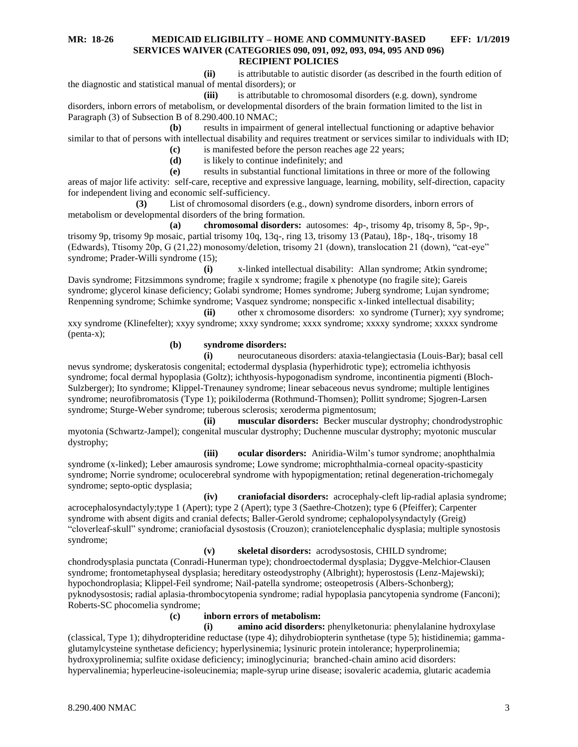**(ii)** is attributable to autistic disorder (as described in the fourth edition of the diagnostic and statistical manual of mental disorders); or

**(iii)** is attributable to chromosomal disorders (e.g. down), syndrome disorders, inborn errors of metabolism, or developmental disorders of the brain formation limited to the list in Paragraph (3) of Subsection B of 8.290.400.10 NMAC;

**(b)** results in impairment of general intellectual functioning or adaptive behavior similar to that of persons with intellectual disability and requires treatment or services similar to individuals with ID; **(c)** is manifested before the person reaches age 22 years;

**(d)** is likely to continue indefinitely; and

**(e)** results in substantial functional limitations in three or more of the following areas of major life activity: self-care, receptive and expressive language, learning, mobility, self-direction, capacity for independent living and economic self-sufficiency.

**(3)** List of chromosomal disorders (e.g., down) syndrome disorders, inborn errors of metabolism or developmental disorders of the bring formation.

**(a) chromosomal disorders:** autosomes: 4p-, trisomy 4p, trisomy 8, 5p-, 9p-, trisomy 9p, trisomy 9p mosaic, partial trisomy 10q, 13q-, ring 13, trisomy 13 (Patau), 18p-, 18q-, trisomy 18 (Edwards), Ttisomy 20p, G (21,22) monosomy/deletion, trisomy 21 (down), translocation 21 (down), "cat-eye" syndrome; Prader-Willi syndrome (15);

**(i)** x-linked intellectual disability: Allan syndrome; Atkin syndrome; Davis syndrome; Fitzsimmons syndrome; fragile x syndrome; fragile x phenotype (no fragile site); Gareis syndrome; glycerol kinase deficiency; Golabi syndrome; Homes syndrome; Juberg syndrome; Lujan syndrome; Renpenning syndrome; Schimke syndrome; Vasquez syndrome; nonspecific x-linked intellectual disability;

**(ii)** other x chromosome disorders: xo syndrome (Turner); xyy syndrome; xxy syndrome (Klinefelter); xxyy syndrome; xxxy syndrome; xxxx syndrome; xxxxy syndrome; xxxxx syndrome (penta-x);

**(b) syndrome disorders:**

**(i)** neurocutaneous disorders: ataxia-telangiectasia (Louis-Bar); basal cell nevus syndrome; dyskeratosis congenital; ectodermal dysplasia (hyperhidrotic type); ectromelia ichthyosis syndrome; focal dermal hypoplasia (Goltz); ichthyosis-hypogonadism syndrome, incontinentia pigmenti (Bloch-Sulzberger); Ito syndrome; Klippel-Trenauney syndrome; linear sebaceous nevus syndrome; multiple lentigines syndrome; neurofibromatosis (Type 1); poikiloderma (Rothmund-Thomsen); Pollitt syndrome; Sjogren-Larsen syndrome; Sturge-Weber syndrome; tuberous sclerosis; xeroderma pigmentosum;

**(ii) muscular disorders:** Becker muscular dystrophy; chondrodystrophic myotonia (Schwartz-Jampel); congenital muscular dystrophy; Duchenne muscular dystrophy; myotonic muscular dystrophy;

**(iii) ocular disorders:** Aniridia-Wilm's tumor syndrome; anophthalmia syndrome (x-linked); Leber amaurosis syndrome; Lowe syndrome; microphthalmia-corneal opacity-spasticity syndrome; Norrie syndrome; oculocerebral syndrome with hypopigmentation; retinal degeneration-trichomegaly syndrome; septo-optic dysplasia;

**(iv) craniofacial disorders:** acrocephaly-cleft lip-radial aplasia syndrome; acrocephalosyndactyly;type 1 (Apert); type 2 (Apert); type 3 (Saethre-Chotzen); type 6 (Pfeiffer); Carpenter syndrome with absent digits and cranial defects; Baller-Gerold syndrome; cephalopolysyndactyly (Greig) "cloverleaf-skull" syndrome; craniofacial dysostosis (Crouzon); craniotelencephalic dysplasia; multiple synostosis syndrome;

**(v) skeletal disorders:** acrodysostosis, CHILD syndrome; chondrodysplasia punctata (Conradi-Hunerman type); chondroectodermal dysplasia; Dyggve-Melchior-Clausen syndrome; frontometaphyseal dysplasia; hereditary osteodystrophy (Albright); hyperostosis (Lenz-Majewski); hypochondroplasia; Klippel-Feil syndrome; Nail-patella syndrome; osteopetrosis (Albers-Schonberg); pyknodysostosis; radial aplasia-thrombocytopenia syndrome; radial hypoplasia pancytopenia syndrome (Fanconi); Roberts-SC phocomelia syndrome;

# **(c) inborn errors of metabolism:**

**(i) amino acid disorders:** phenylketonuria: phenylalanine hydroxylase (classical, Type 1); dihydropteridine reductase (type 4); dihydrobiopterin synthetase (type 5); histidinemia; gammaglutamylcysteine synthetase deficiency; hyperlysinemia; lysinuric protein intolerance; hyperprolinemia; hydroxyprolinemia; sulfite oxidase deficiency; iminoglycinuria; branched-chain amino acid disorders: hypervalinemia; hyperleucine-isoleucinemia; maple-syrup urine disease; isovaleric academia, glutaric academia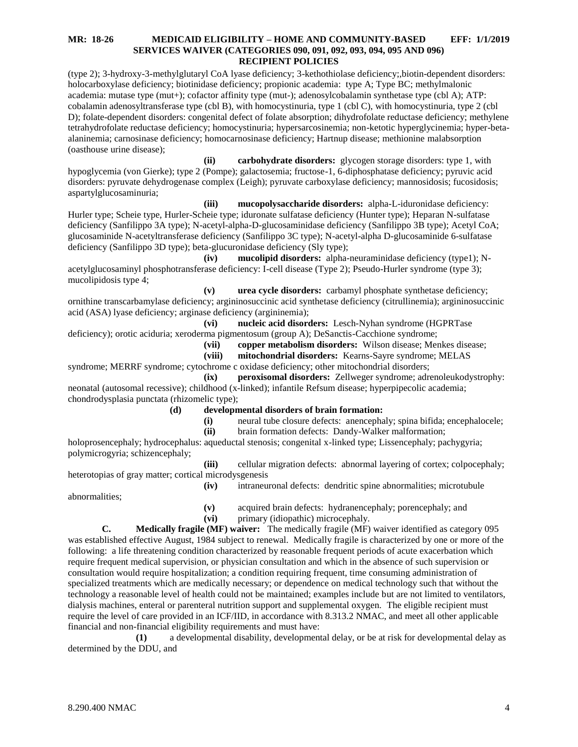(type 2); 3-hydroxy-3-methylglutaryl CoA lyase deficiency; 3-kethothiolase deficiency;,biotin-dependent disorders: holocarboxylase deficiency; biotinidase deficiency; propionic academia: type A; Type BC; methylmalonic academia: mutase type (mut+); cofactor affinity type (mut-); adenosylcobalamin synthetase type (cbl A); ATP: cobalamin adenosyltransferase type (cbl B), with homocystinuria, type 1 (cbl C), with homocystinuria, type 2 (cbl D); folate-dependent disorders: congenital defect of folate absorption; dihydrofolate reductase deficiency; methylene tetrahydrofolate reductase deficiency; homocystinuria; hypersarcosinemia; non-ketotic hyperglycinemia; hyper-betaalaninemia; carnosinase deficiency; homocarnosinase deficiency; Hartnup disease; methionine malabsorption (oasthouse urine disease);

**(ii) carbohydrate disorders:** glycogen storage disorders: type 1, with hypoglycemia (von Gierke); type 2 (Pompe); galactosemia; fructose-1, 6-diphosphatase deficiency; pyruvic acid disorders: pyruvate dehydrogenase complex (Leigh); pyruvate carboxylase deficiency; mannosidosis; fucosidosis; aspartylglucosaminuria;

**(iii) mucopolysaccharide disorders:** alpha-L-iduronidase deficiency: Hurler type; Scheie type, Hurler-Scheie type; iduronate sulfatase deficiency (Hunter type); Heparan N-sulfatase deficiency (Sanfilippo 3A type); N-acetyl-alpha-D-glucosaminidase deficiency (Sanfilippo 3B type); Acetyl CoA; glucosaminide N-acetyltransferase deficiency (Sanfilippo 3C type); N-acetyl-alpha D-glucosaminide 6-sulfatase deficiency (Sanfilippo 3D type); beta-glucuronidase deficiency (Sly type);

**(iv) mucolipid disorders:** alpha-neuraminidase deficiency (type1); Nacetylglucosaminyl phosphotransferase deficiency: I-cell disease (Type 2); Pseudo-Hurler syndrome (type 3); mucolipidosis type 4;

**(v) urea cycle disorders:** carbamyl phosphate synthetase deficiency; ornithine transcarbamylase deficiency; argininosuccinic acid synthetase deficiency (citrullinemia); argininosuccinic acid (ASA) lyase deficiency; arginase deficiency (argininemia);

**(vi) nucleic acid disorders:** Lesch-Nyhan syndrome (HGPRTase deficiency); orotic aciduria; xeroderma pigmentosum (group A); DeSanctis-Cacchione syndrome;

**(vii) copper metabolism disorders:** Wilson disease; Menkes disease;

**(viii) mitochondrial disorders:** Kearns-Sayre syndrome; MELAS

syndrome; MERRF syndrome; cytochrome c oxidase deficiency; other mitochondrial disorders;

**(ix) peroxisomal disorders:** Zellweger syndrome; adrenoleukodystrophy: neonatal (autosomal recessive); childhood (x-linked); infantile Refsum disease; hyperpipecolic academia; chondrodysplasia punctata (rhizomelic type);

- **(d) developmental disorders of brain formation:**
	- **(i)** neural tube closure defects: anencephaly; spina bifida; encephalocele;
	- **(ii)** brain formation defects: Dandy-Walker malformation;

holoprosencephaly; hydrocephalus: aqueductal stenosis; congenital x-linked type; Lissencephaly; pachygyria; polymicrogyria; schizencephaly;

**(iii)** cellular migration defects: abnormal layering of cortex; colpocephaly; heterotopias of gray matter; cortical microdysgenesis

abnormalities;

**(v)** acquired brain defects: hydranencephaly; porencephaly; and

**(iv)** intraneuronal defects: dendritic spine abnormalities; microtubule

**(vi)** primary (idiopathic) microcephaly.

**C. Medically fragile (MF) waiver:** The medically fragile (MF) waiver identified as category 095 was established effective August, 1984 subject to renewal. Medically fragile is characterized by one or more of the following: a life threatening condition characterized by reasonable frequent periods of acute exacerbation which require frequent medical supervision, or physician consultation and which in the absence of such supervision or consultation would require hospitalization; a condition requiring frequent, time consuming administration of specialized treatments which are medically necessary; or dependence on medical technology such that without the technology a reasonable level of health could not be maintained; examples include but are not limited to ventilators, dialysis machines, enteral or parenteral nutrition support and supplemental oxygen. The eligible recipient must require the level of care provided in an ICF/IID, in accordance with 8.313.2 NMAC, and meet all other applicable financial and non-financial eligibility requirements and must have:

**(1)** a developmental disability, developmental delay, or be at risk for developmental delay as determined by the DDU, and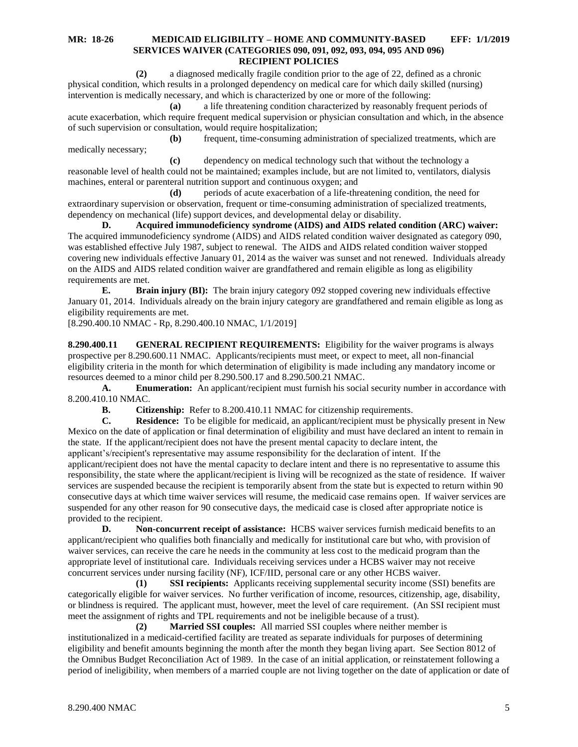**(2)** a diagnosed medically fragile condition prior to the age of 22, defined as a chronic physical condition, which results in a prolonged dependency on medical care for which daily skilled (nursing) intervention is medically necessary, and which is characterized by one or more of the following:

**(a)** a life threatening condition characterized by reasonably frequent periods of acute exacerbation, which require frequent medical supervision or physician consultation and which, in the absence of such supervision or consultation, would require hospitalization;

**(b)** frequent, time-consuming administration of specialized treatments, which are medically necessary;

**(c)** dependency on medical technology such that without the technology a reasonable level of health could not be maintained; examples include, but are not limited to, ventilators, dialysis machines, enteral or parenteral nutrition support and continuous oxygen; and

**(d)** periods of acute exacerbation of a life-threatening condition, the need for extraordinary supervision or observation, frequent or time-consuming administration of specialized treatments, dependency on mechanical (life) support devices, and developmental delay or disability.

**D. Acquired immunodeficiency syndrome (AIDS) and AIDS related condition (ARC) waiver:** The acquired immunodeficiency syndrome (AIDS) and AIDS related condition waiver designated as category 090, was established effective July 1987, subject to renewal. The AIDS and AIDS related condition waiver stopped covering new individuals effective January 01, 2014 as the waiver was sunset and not renewed. Individuals already on the AIDS and AIDS related condition waiver are grandfathered and remain eligible as long as eligibility requirements are met.

**E. Brain injury (BI):** The brain injury category 092 stopped covering new individuals effective January 01, 2014. Individuals already on the brain injury category are grandfathered and remain eligible as long as eligibility requirements are met.

[8.290.400.10 NMAC - Rp, 8.290.400.10 NMAC, 1/1/2019]

<span id="page-5-0"></span>**8.290.400.11 GENERAL RECIPIENT REQUIREMENTS:** Eligibility for the waiver programs is always prospective per 8.290.600.11 NMAC. Applicants/recipients must meet, or expect to meet, all non-financial eligibility criteria in the month for which determination of eligibility is made including any mandatory income or resources deemed to a minor child per 8.290.500.17 and 8.290.500.21 NMAC.

**A. Enumeration:** An applicant/recipient must furnish his social security number in accordance with 8.200.410.10 NMAC.

**B. Citizenship:** Refer to 8.200.410.11 NMAC for citizenship requirements.

**C. Residence:** To be eligible for medicaid, an applicant/recipient must be physically present in New Mexico on the date of application or final determination of eligibility and must have declared an intent to remain in the state. If the applicant/recipient does not have the present mental capacity to declare intent, the applicant's/recipient's representative may assume responsibility for the declaration of intent. If the applicant/recipient does not have the mental capacity to declare intent and there is no representative to assume this responsibility, the state where the applicant/recipient is living will be recognized as the state of residence. If waiver services are suspended because the recipient is temporarily absent from the state but is expected to return within 90 consecutive days at which time waiver services will resume, the medicaid case remains open. If waiver services are suspended for any other reason for 90 consecutive days, the medicaid case is closed after appropriate notice is provided to the recipient.

**D. Non-concurrent receipt of assistance:** HCBS waiver services furnish medicaid benefits to an applicant/recipient who qualifies both financially and medically for institutional care but who, with provision of waiver services, can receive the care he needs in the community at less cost to the medicaid program than the appropriate level of institutional care. Individuals receiving services under a HCBS waiver may not receive concurrent services under nursing facility (NF), ICF/IID, personal care or any other HCBS waiver.

**(1) SSI recipients:** Applicants receiving supplemental security income (SSI) benefits are categorically eligible for waiver services. No further verification of income, resources, citizenship, age, disability, or blindness is required. The applicant must, however, meet the level of care requirement. (An SSI recipient must meet the assignment of rights and TPL requirements and not be ineligible because of a trust).

**(2) Married SSI couples:** All married SSI couples where neither member is institutionalized in a medicaid-certified facility are treated as separate individuals for purposes of determining eligibility and benefit amounts beginning the month after the month they began living apart. See Section 8012 of the Omnibus Budget Reconciliation Act of 1989. In the case of an initial application, or reinstatement following a period of ineligibility, when members of a married couple are not living together on the date of application or date of